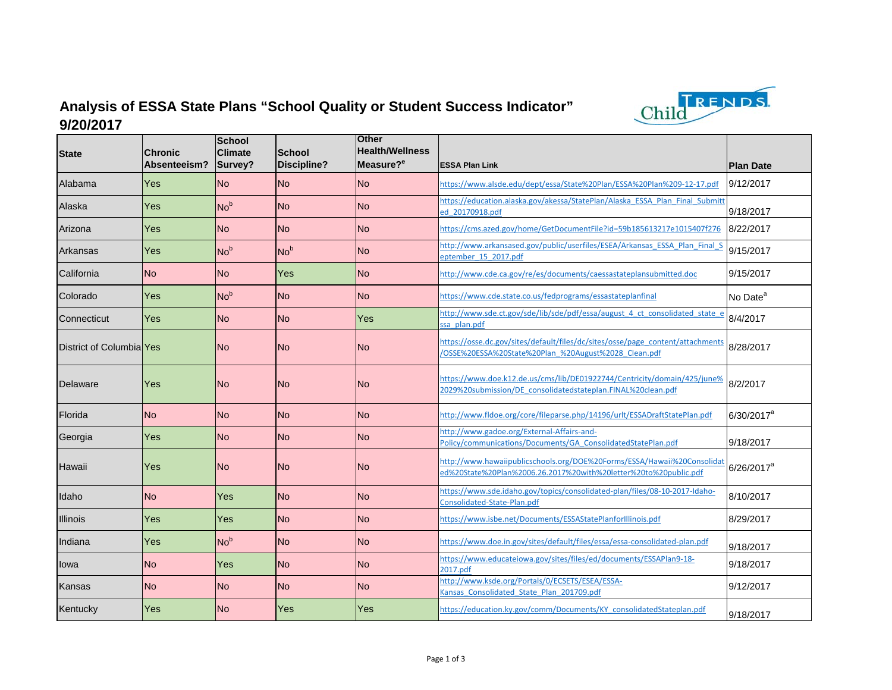

## **Analysis of ESSA State Plans "School Quality or Student Success Indicator" 9/20/2017**

| <b>State</b>              | <b>Chronic</b><br>Absenteeism? | <b>School</b><br><b>Climate</b><br>Survey? | School<br>Discipline? | <b>Other</b><br><b>Health/Wellness</b><br>Measure? <sup>e</sup> | <b>ESSA Plan Link</b>                                                                                                                       |                        |
|---------------------------|--------------------------------|--------------------------------------------|-----------------------|-----------------------------------------------------------------|---------------------------------------------------------------------------------------------------------------------------------------------|------------------------|
|                           |                                |                                            |                       |                                                                 |                                                                                                                                             | <b>Plan Date</b>       |
| Alabama                   | Yes                            | <b>No</b>                                  | <b>No</b>             | <b>No</b>                                                       | https://www.alsde.edu/dept/essa/State%20Plan/ESSA%20Plan%209-12-17.pdf                                                                      | 9/12/2017              |
| Alaska                    | <b>Yes</b>                     | No <sup>b</sup>                            | <b>No</b>             | <b>No</b>                                                       | https://education.alaska.gov/akessa/StatePlan/Alaska ESSA Plan Final Submitt<br>ed 20170918.pdf                                             | 9/18/2017              |
| Arizona                   | Yes                            | <b>No</b>                                  | <b>No</b>             | <b>No</b>                                                       | https://cms.azed.gov/home/GetDocumentFile?id=59b185613217e1015407f276                                                                       | 8/22/2017              |
| Arkansas                  | Yes                            | No <sup>b</sup>                            | No <sup>b</sup>       | <b>No</b>                                                       | http://www.arkansased.gov/public/userfiles/ESEA/Arkansas ESSA Plan Final S<br>eptember 15 2017.pdf                                          | 9/15/2017              |
| California                | <b>No</b>                      | <b>No</b>                                  | Yes                   | <b>No</b>                                                       | http://www.cde.ca.gov/re/es/documents/caessastateplansubmitted.doc                                                                          | 9/15/2017              |
| Colorado                  | <b>Yes</b>                     | No <sup>b</sup>                            | <b>No</b>             | <b>No</b>                                                       | https://www.cde.state.co.us/fedprograms/essastateplanfinal                                                                                  | No Date <sup>a</sup>   |
| Connecticut               | Yes                            | <b>No</b>                                  | <b>No</b>             | Yes                                                             | http://www.sde.ct.gov/sde/lib/sde/pdf/essa/august 4 ct consolidated state e<br>sa plan.pdf                                                  | 8/4/2017               |
| District of Columbial Yes |                                | No.                                        | <b>No</b>             | <b>No</b>                                                       | https://osse.dc.gov/sites/default/files/dc/sites/osse/page_content/attachments<br>/OSSE%20ESSA%20State%20Plan %20August%2028 Clean.pdf      | 8/28/2017              |
| Delaware                  | Yes                            | <b>No</b>                                  | <b>No</b>             | <b>No</b>                                                       | https://www.doe.k12.de.us/cms/lib/DE01922744/Centricity/domain/425/june%<br>2029%20submission/DE_consolidatedstateplan.FINAL%20clean.pdf    | 8/2/2017               |
| Florida                   | <b>No</b>                      | <b>No</b>                                  | <b>No</b>             | <b>No</b>                                                       | http://www.fldoe.org/core/fileparse.php/14196/urlt/ESSADraftStatePlan.pdf                                                                   | 6/30/2017 <sup>a</sup> |
| Georgia                   | Yes                            | <b>No</b>                                  | <b>No</b>             | <b>No</b>                                                       | http://www.gadoe.org/External-Affairs-and-<br>Policy/communications/Documents/GA ConsolidatedStatePlan.pdf                                  | 9/18/2017              |
| Hawaii                    | Yes                            | <b>No</b>                                  | <b>No</b>             | <b>No</b>                                                       | http://www.hawaiipublicschools.org/DOE%20Forms/ESSA/Hawaii%20Consolidat<br>ed%20State%20Plan%2006.26.2017%20with%20letter%20to%20public.pdf | 6/26/2017 <sup>a</sup> |
| Idaho                     | <b>No</b>                      | Yes                                        | <b>No</b>             | <b>No</b>                                                       | https://www.sde.idaho.gov/topics/consolidated-plan/files/08-10-2017-Idaho-<br>Consolidated-State-Plan.pdf                                   | 8/10/2017              |
| <b>Illinois</b>           | Yes                            | Yes                                        | <b>No</b>             | <b>No</b>                                                       | https://www.isbe.net/Documents/ESSAStatePlanforIllinois.pdf                                                                                 | 8/29/2017              |
| Indiana                   | <b>Yes</b>                     | No <sup>b</sup>                            | <b>No</b>             | <b>No</b>                                                       | https://www.doe.in.gov/sites/default/files/essa/essa-consolidated-plan.pdf                                                                  | 9/18/2017              |
| lowa                      | <b>No</b>                      | Yes                                        | <b>No</b>             | <b>No</b>                                                       | https://www.educateiowa.gov/sites/files/ed/documents/ESSAPlan9-18-<br>2017.pdf                                                              | 9/18/2017              |
| Kansas                    | <b>No</b>                      | <b>No</b>                                  | <b>No</b>             | <b>No</b>                                                       | http://www.ksde.org/Portals/0/ECSETS/ESEA/ESSA-<br><ansas 201709.pdf<="" consolidated="" plan="" state="" td=""><td>9/12/2017</td></ansas>  | 9/12/2017              |
| Kentucky                  | <b>Yes</b>                     | <b>No</b>                                  | Yes                   | Yes                                                             | https://education.ky.gov/comm/Documents/KY_consolidatedStateplan.pdf                                                                        | 9/18/2017              |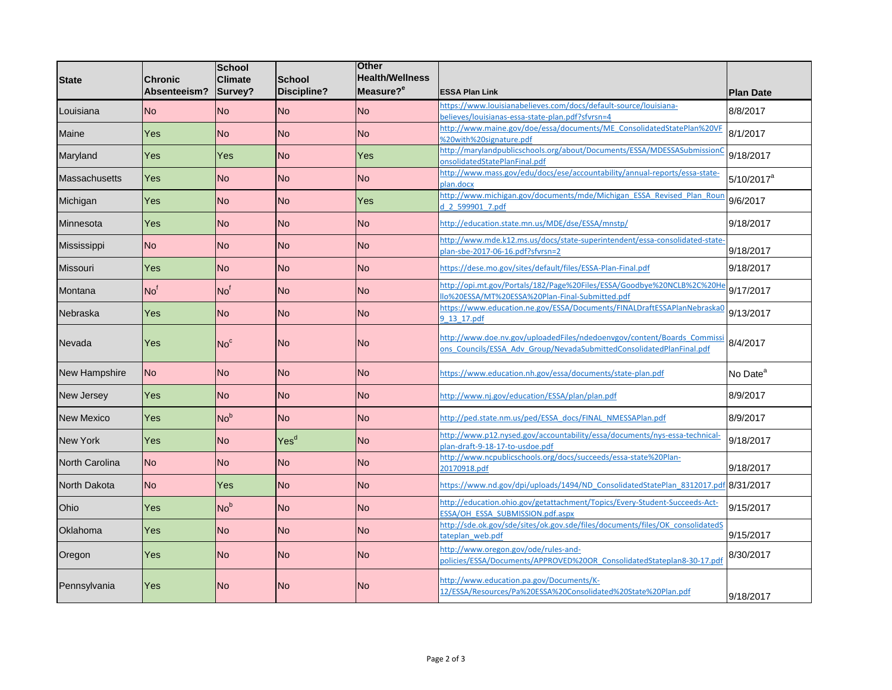| <b>State</b>          | <b>Chronic</b><br>Absenteeism? | <b>School</b><br><b>Climate</b><br>Survey? | <b>School</b><br>Discipline? | <b>Other</b><br><b>Health/Wellness</b><br>Measure? <sup>e</sup> | <b>ESSA Plan Link</b>                                                                                                                           | <b>Plan Date</b>       |
|-----------------------|--------------------------------|--------------------------------------------|------------------------------|-----------------------------------------------------------------|-------------------------------------------------------------------------------------------------------------------------------------------------|------------------------|
| Louisiana             | <b>No</b>                      | <b>No</b>                                  | <b>No</b>                    | <b>No</b>                                                       | https://www.louisianabelieves.com/docs/default-source/louisiana-<br>believes/louisianas-essa-state-plan.pdf?sfvrsn=4                            | 8/8/2017               |
| Maine                 | <b>Yes</b>                     | <b>No</b>                                  | <b>No</b>                    | <b>No</b>                                                       | http://www.maine.gov/doe/essa/documents/ME ConsolidatedStatePlan%20VF<br>%20with%20signature.pdf                                                | 8/1/2017               |
| Maryland              | Yes                            | Yes                                        | <b>No</b>                    | Yes                                                             | http://marylandpublicschools.org/about/Documents/ESSA/MDESSASubmissionC<br>onsolidated State Plan Final.pdf                                     | 9/18/2017              |
| Massachusetts         | Yes                            | <b>No</b>                                  | <b>No</b>                    | <b>No</b>                                                       | http://www.mass.gov/edu/docs/ese/accountability/annual-reports/essa-state-<br>plan.docx                                                         | 5/10/2017 <sup>a</sup> |
| Michigan              | Yes                            | <b>No</b>                                  | <b>No</b>                    | Yes                                                             | http://www.michigan.gov/documents/mde/Michigan ESSA Revised Plan Roun<br>d 2 599901 7.pdf                                                       | 9/6/2017               |
| Minnesota             | Yes                            | <b>No</b>                                  | No                           | <b>No</b>                                                       | http://education.state.mn.us/MDE/dse/ESSA/mnstp/                                                                                                | 9/18/2017              |
| Mississippi           | <b>No</b>                      | <b>No</b>                                  | <b>No</b>                    | <b>No</b>                                                       | http://www.mde.k12.ms.us/docs/state-superintendent/essa-consolidated-state<br>plan-sbe-2017-06-16.pdf?sfyrsn=2                                  | 9/18/2017              |
| <b>Missouri</b>       | Yes                            | <b>No</b>                                  | No                           | <b>No</b>                                                       | https://dese.mo.gov/sites/default/files/ESSA-Plan-Final.pdf                                                                                     | 9/18/2017              |
| Montana               | No <sup>f</sup>                | No <sup>f</sup>                            | <b>No</b>                    | <b>No</b>                                                       | http://opi.mt.gov/Portals/182/Page%20Files/ESSA/Goodbye%20NCLB%2C%20He<br>llo%20ESSA/MT%20ESSA%20Plan-Final-Submitted.pdf                       | 9/17/2017              |
| Nebraska              | <b>Yes</b>                     | <b>No</b>                                  | <b>No</b>                    | <b>No</b>                                                       | https://www.education.ne.gov/ESSA/Documents/FINALDraftESSAPlanNebraskaC<br>9 13 17.pdf                                                          | 9/13/2017              |
| Nevada                | Yes                            | No <sup>c</sup>                            | <b>No</b>                    | No                                                              | http://www.doe.nv.gov/uploadedFiles/ndedoenvgov/content/Boards Commissi<br>ons Councils/ESSA Adv Group/NevadaSubmittedConsolidatedPlanFinal.pdf | 8/4/2017               |
| New Hampshire         | <b>No</b>                      | <b>No</b>                                  | <b>No</b>                    | <b>No</b>                                                       | https://www.education.nh.gov/essa/documents/state-plan.pdf                                                                                      | No Date <sup>a</sup>   |
| New Jersey            | Yes                            | <b>No</b>                                  | <b>No</b>                    | <b>No</b>                                                       | http://www.nj.gov/education/ESSA/plan/plan.pdf                                                                                                  | 8/9/2017               |
| <b>New Mexico</b>     | Yes                            | No <sup>b</sup>                            | <b>No</b>                    | <b>No</b>                                                       | http://ped.state.nm.us/ped/ESSA_docs/FINAL_NMESSAPlan.pdf                                                                                       | 8/9/2017               |
| <b>New York</b>       | Yes                            | <b>No</b>                                  | Yes <sup>d</sup>             | <b>No</b>                                                       | http://www.p12.nysed.gov/accountability/essa/documents/nys-essa-technical-<br>plan-draft-9-18-17-to-usdoe.pdf                                   | 9/18/2017              |
| <b>North Carolina</b> | <b>No</b>                      | <b>No</b>                                  | <b>No</b>                    | <b>No</b>                                                       | http://www.ncpublicschools.org/docs/succeeds/essa-state%20Plan-<br>20170918.pdf                                                                 | 9/18/2017              |
| North Dakota          | <b>No</b>                      | Yes                                        | No                           | <b>No</b>                                                       | https://www.nd.gov/dpi/uploads/1494/ND ConsolidatedStatePlan 8312017.pdf 8/31/2017                                                              |                        |
| Ohio                  | <b>Yes</b>                     | Nob                                        | <b>No</b>                    | <b>No</b>                                                       | http://education.ohio.gov/getattachment/Topics/Every-Student-Succeeds-Act-<br>ESSA/OH ESSA SUBMISSION.pdf.aspx                                  | 9/15/2017              |
| Oklahoma              | Yes                            | <b>No</b>                                  | <b>No</b>                    | <b>No</b>                                                       | http://sde.ok.gov/sde/sites/ok.gov.sde/files/documents/files/OK consolidatedS<br>tateplan web.pdf                                               | 9/15/2017              |
| Oregon                | Yes                            | <b>No</b>                                  | <b>No</b>                    | <b>No</b>                                                       | http://www.oregon.gov/ode/rules-and-<br>policies/ESSA/Documents/APPROVED%20OR ConsolidatedStateplan8-30-17.pdf                                  | 8/30/2017              |
| Pennsylvania          | Yes                            | <b>No</b>                                  | <b>No</b>                    | No                                                              | http://www.education.pa.gov/Documents/K-<br>12/ESSA/Resources/Pa%20ESSA%20Consolidated%20State%20Plan.pdf                                       | 9/18/2017              |